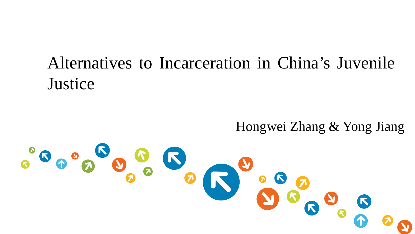# Alternatives to Incarceration in China's Juvenile **Justice**

Hongwei Zhang & Yong Jiang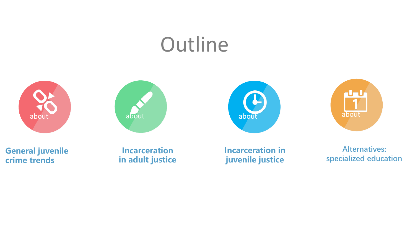# **Outline**









**General juvenile crime trends**

**Incarceration in adult justice** **Incarceration in juvenile justice**

**Alternatives: specialized education**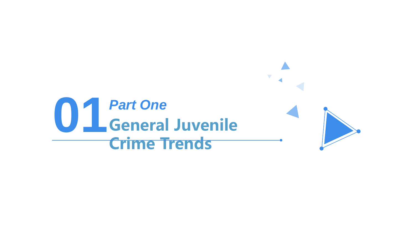# **011** Part One<br>General Juvenile **Crime Trends** *Part One*

 $\overline{\mathcal{L}}$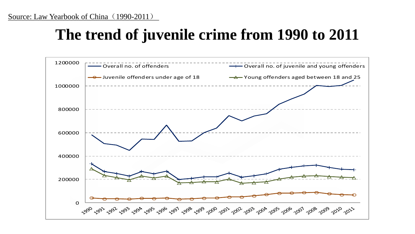## **The trend of juvenile crime from 1990 to 2011**

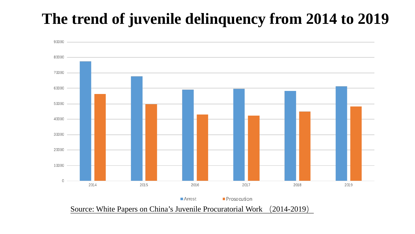## **The trend of juvenile delinquency from 2014 to 2019**

![](_page_4_Figure_1.jpeg)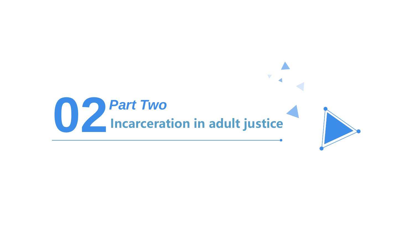![](_page_5_Picture_0.jpeg)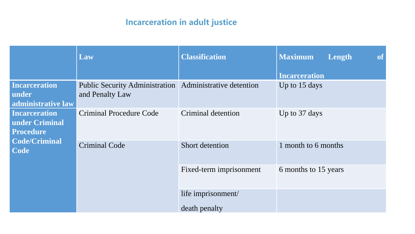#### **Incarceration in adult justice**

|                      | Law                                                       | <b>Classification</b>   | <b>Maximum</b><br>Length<br><b>of</b> |
|----------------------|-----------------------------------------------------------|-------------------------|---------------------------------------|
|                      |                                                           |                         | <b>Incarceration</b>                  |
| <b>Incarceration</b> | Public Security Administration   Administrative detention |                         | Up to 15 days                         |
| under                | and Penalty Law                                           |                         |                                       |
| administrative law   |                                                           |                         |                                       |
| <b>Incarceration</b> | <b>Criminal Procedure Code</b>                            | Criminal detention      | Up to 37 days                         |
| under Criminal       |                                                           |                         |                                       |
| <b>Procedure</b>     |                                                           |                         |                                       |
| <b>Code/Criminal</b> |                                                           |                         |                                       |
| Code                 | <b>Criminal Code</b>                                      | Short detention         | 1 month to 6 months                   |
|                      |                                                           | Fixed-term imprisonment | 6 months to 15 years                  |
|                      |                                                           | life imprisonment/      |                                       |
|                      |                                                           | death penalty           |                                       |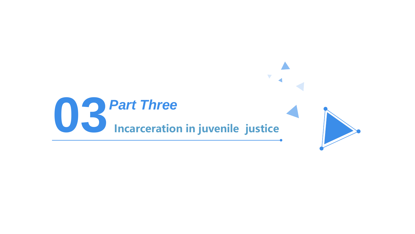![](_page_7_Picture_0.jpeg)

![](_page_7_Picture_1.jpeg)

 $\blacktriangledown$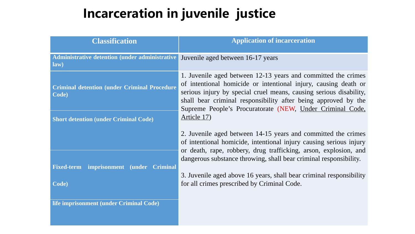## **Incarceration in juvenile justice**

| <b>Classification</b>                                        | <b>Application of incarceration</b>                                                                                                                                                                                                                                                                                                                  |  |
|--------------------------------------------------------------|------------------------------------------------------------------------------------------------------------------------------------------------------------------------------------------------------------------------------------------------------------------------------------------------------------------------------------------------------|--|
| Administrative detention (under administrative<br>law)       | Juvenile aged between 16-17 years                                                                                                                                                                                                                                                                                                                    |  |
| <b>Criminal detention (under Criminal Procedure</b><br>Code) | 1. Juvenile aged between 12-13 years and committed the crimes<br>of intentional homicide or intentional injury, causing death or<br>serious injury by special cruel means, causing serious disability,<br>shall bear criminal responsibility after being approved by the<br>Supreme People's Procuratorate (NEW, Under Criminal Code,<br>Article 17) |  |
| <b>Short detention (under Criminal Code)</b>                 |                                                                                                                                                                                                                                                                                                                                                      |  |
|                                                              | 2. Juvenile aged between 14-15 years and committed the crimes<br>of intentional homicide, intentional injury causing serious injury<br>or death, rape, robbery, drug trafficking, arson, explosion, and                                                                                                                                              |  |
| imprisonment (under Criminal<br><b>Fixed-term</b>            | dangerous substance throwing, shall bear criminal responsibility.                                                                                                                                                                                                                                                                                    |  |
| Code)                                                        | 3. Juvenile aged above 16 years, shall bear criminal responsibility<br>for all crimes prescribed by Criminal Code.                                                                                                                                                                                                                                   |  |
| life imprisonment (under Criminal Code)                      |                                                                                                                                                                                                                                                                                                                                                      |  |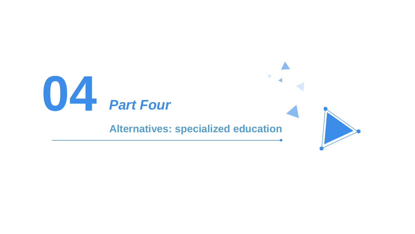# **04** *Part Four*

#### **Alternatives: specialized education**

![](_page_9_Picture_2.jpeg)

 $\blacktriangledown$